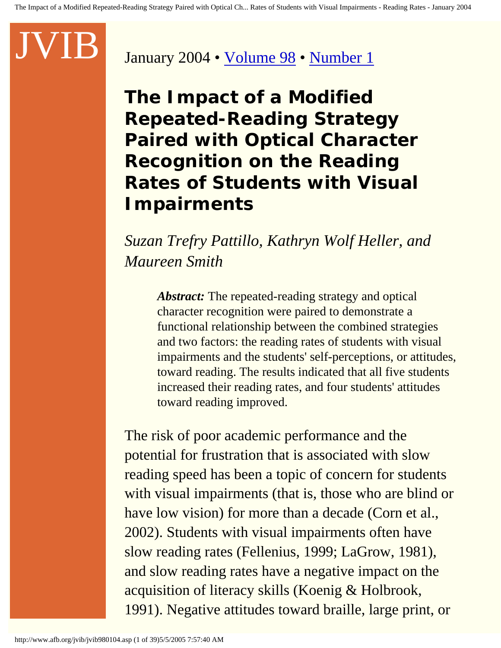### January 2004 • [Volume 98](http://www.afb.org/jvib/jvib_main.asp#2004) • [Number 1](http://www.afb.org/jvib/jvib9801toc.asp)

**The Impact of a Modified Repeated-Reading Strategy Paired with Optical Character Recognition on the Reading Rates of Students with Visual Impairments** 

*Suzan Trefry Pattillo, Kathryn Wolf Heller, and Maureen Smith* 

> *Abstract:* The repeated-reading strategy and optical character recognition were paired to demonstrate a functional relationship between the combined strategies and two factors: the reading rates of students with visual impairments and the students' self-perceptions, or attitudes, toward reading. The results indicated that all five students increased their reading rates, and four students' attitudes toward reading improved.

The risk of poor academic performance and the potential for frustration that is associated with slow reading speed has been a topic of concern for students with visual impairments (that is, those who are blind or have low vision) for more than a decade (Corn et al., 2002). Students with visual impairments often have slow reading rates (Fellenius, 1999; LaGrow, 1981), and slow reading rates have a negative impact on the acquisition of literacy skills (Koenig & Holbrook, 1991). Negative attitudes toward braille, large print, or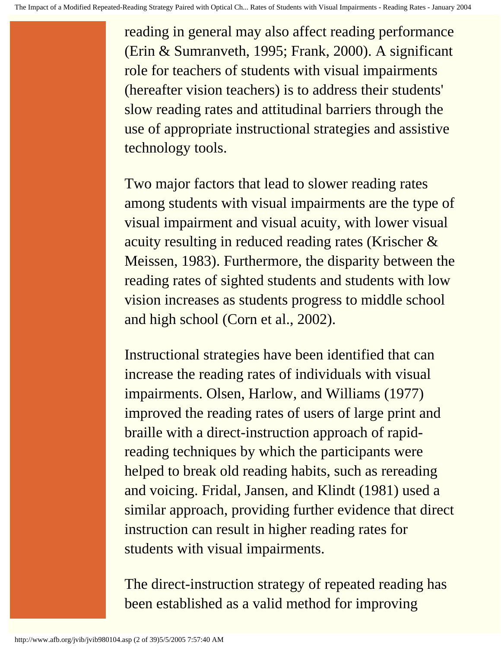reading in general may also affect reading performance (Erin & Sumranveth, 1995; Frank, 2000). A significant role for teachers of students with visual impairments (hereafter vision teachers) is to address their students' slow reading rates and attitudinal barriers through the use of appropriate instructional strategies and assistive technology tools.

Two major factors that lead to slower reading rates among students with visual impairments are the type of visual impairment and visual acuity, with lower visual acuity resulting in reduced reading rates (Krischer & Meissen, 1983). Furthermore, the disparity between the reading rates of sighted students and students with low vision increases as students progress to middle school and high school (Corn et al., 2002).

Instructional strategies have been identified that can increase the reading rates of individuals with visual impairments. Olsen, Harlow, and Williams (1977) improved the reading rates of users of large print and braille with a direct-instruction approach of rapidreading techniques by which the participants were helped to break old reading habits, such as rereading and voicing. Fridal, Jansen, and Klindt (1981) used a similar approach, providing further evidence that direct instruction can result in higher reading rates for students with visual impairments.

The direct-instruction strategy of repeated reading has been established as a valid method for improving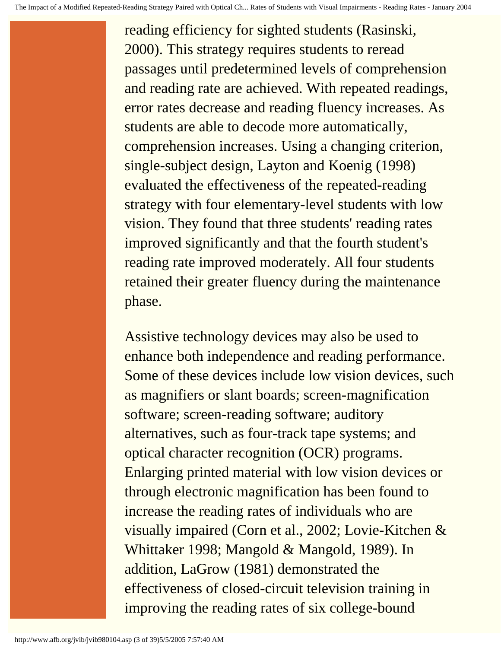reading efficiency for sighted students (Rasinski, 2000). This strategy requires students to reread passages until predetermined levels of comprehension and reading rate are achieved. With repeated readings, error rates decrease and reading fluency increases. As students are able to decode more automatically, comprehension increases. Using a changing criterion, single-subject design, Layton and Koenig (1998) evaluated the effectiveness of the repeated-reading strategy with four elementary-level students with low vision. They found that three students' reading rates improved significantly and that the fourth student's reading rate improved moderately. All four students retained their greater fluency during the maintenance phase.

Assistive technology devices may also be used to enhance both independence and reading performance. Some of these devices include low vision devices, such as magnifiers or slant boards; screen-magnification software; screen-reading software; auditory alternatives, such as four-track tape systems; and optical character recognition (OCR) programs. Enlarging printed material with low vision devices or through electronic magnification has been found to increase the reading rates of individuals who are visually impaired (Corn et al., 2002; Lovie-Kitchen & Whittaker 1998; Mangold & Mangold, 1989). In addition, LaGrow (1981) demonstrated the effectiveness of closed-circuit television training in improving the reading rates of six college-bound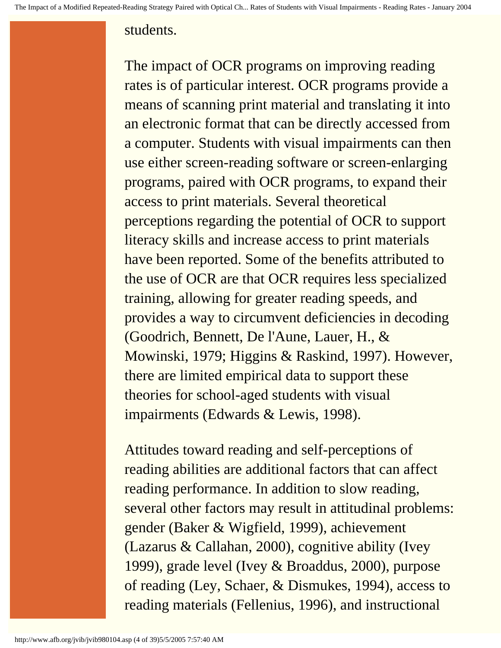#### students.

The impact of OCR programs on improving reading rates is of particular interest. OCR programs provide a means of scanning print material and translating it into an electronic format that can be directly accessed from a computer. Students with visual impairments can then use either screen-reading software or screen-enlarging programs, paired with OCR programs, to expand their access to print materials. Several theoretical perceptions regarding the potential of OCR to support literacy skills and increase access to print materials have been reported. Some of the benefits attributed to the use of OCR are that OCR requires less specialized training, allowing for greater reading speeds, and provides a way to circumvent deficiencies in decoding (Goodrich, Bennett, De l'Aune, Lauer, H., & Mowinski, 1979; Higgins & Raskind, 1997). However, there are limited empirical data to support these theories for school-aged students with visual impairments (Edwards & Lewis, 1998).

Attitudes toward reading and self-perceptions of reading abilities are additional factors that can affect reading performance. In addition to slow reading, several other factors may result in attitudinal problems: gender (Baker & Wigfield, 1999), achievement (Lazarus & Callahan, 2000), cognitive ability (Ivey 1999), grade level (Ivey & Broaddus, 2000), purpose of reading (Ley, Schaer, & Dismukes, 1994), access to reading materials (Fellenius, 1996), and instructional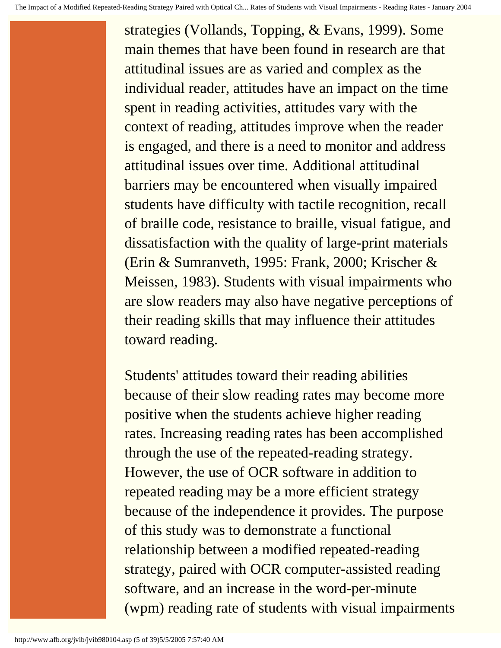strategies (Vollands, Topping, & Evans, 1999). Some main themes that have been found in research are that attitudinal issues are as varied and complex as the individual reader, attitudes have an impact on the time spent in reading activities, attitudes vary with the context of reading, attitudes improve when the reader is engaged, and there is a need to monitor and address attitudinal issues over time. Additional attitudinal barriers may be encountered when visually impaired students have difficulty with tactile recognition, recall of braille code, resistance to braille, visual fatigue, and dissatisfaction with the quality of large-print materials (Erin & Sumranveth, 1995: Frank, 2000; Krischer & Meissen, 1983). Students with visual impairments who are slow readers may also have negative perceptions of their reading skills that may influence their attitudes toward reading.

Students' attitudes toward their reading abilities because of their slow reading rates may become more positive when the students achieve higher reading rates. Increasing reading rates has been accomplished through the use of the repeated-reading strategy. However, the use of OCR software in addition to repeated reading may be a more efficient strategy because of the independence it provides. The purpose of this study was to demonstrate a functional relationship between a modified repeated-reading strategy, paired with OCR computer-assisted reading software, and an increase in the word-per-minute (wpm) reading rate of students with visual impairments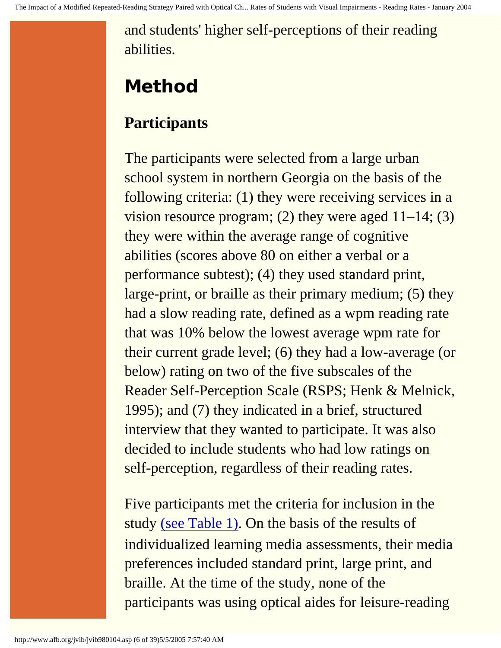and students' higher self-perceptions of their reading abilities.

# **Method**

# **Participants**

The participants were selected from a large urban school system in northern Georgia on the basis of the following criteria: (1) they were receiving services in a vision resource program; (2) they were aged 11–14; (3) they were within the average range of cognitive abilities (scores above 80 on either a verbal or a performance subtest); (4) they used standard print, large-print, or braille as their primary medium; (5) they had a slow reading rate, defined as a wpm reading rate that was 10% below the lowest average wpm rate for their current grade level; (6) they had a low-average (or below) rating on two of the five subscales of the Reader Self-Perception Scale (RSPS; Henk & Melnick, 1995); and (7) they indicated in a brief, structured interview that they wanted to participate. It was also decided to include students who had low ratings on self-perception, regardless of their reading rates.

Five participants met the criteria for inclusion in the study [\(see Table 1\)](http://www.afb.org/jvib/jvib980104tab01intro.asp). On the basis of the results of individualized learning media assessments, their media preferences included standard print, large print, and braille. At the time of the study, none of the participants was using optical aides for leisure-reading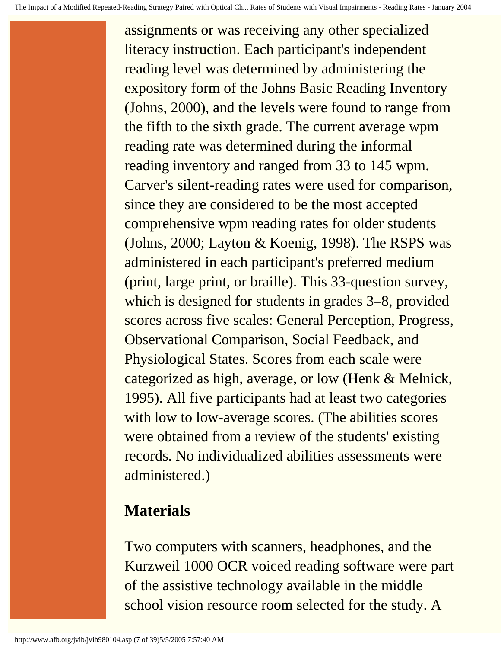assignments or was receiving any other specialized literacy instruction. Each participant's independent reading level was determined by administering the expository form of the Johns Basic Reading Inventory (Johns, 2000), and the levels were found to range from the fifth to the sixth grade. The current average wpm reading rate was determined during the informal reading inventory and ranged from 33 to 145 wpm. Carver's silent-reading rates were used for comparison, since they are considered to be the most accepted comprehensive wpm reading rates for older students (Johns, 2000; Layton & Koenig, 1998). The RSPS was administered in each participant's preferred medium (print, large print, or braille). This 33-question survey, which is designed for students in grades 3–8, provided scores across five scales: General Perception, Progress, Observational Comparison, Social Feedback, and Physiological States. Scores from each scale were categorized as high, average, or low (Henk & Melnick, 1995). All five participants had at least two categories with low to low-average scores. (The abilities scores were obtained from a review of the students' existing records. No individualized abilities assessments were administered.)

# **Materials**

Two computers with scanners, headphones, and the Kurzweil 1000 OCR voiced reading software were part of the assistive technology available in the middle school vision resource room selected for the study. A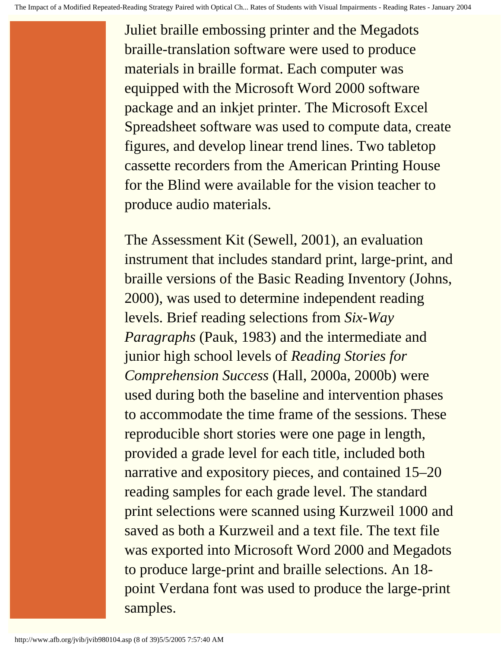Juliet braille embossing printer and the Megadots braille-translation software were used to produce materials in braille format. Each computer was equipped with the Microsoft Word 2000 software package and an inkjet printer. The Microsoft Excel Spreadsheet software was used to compute data, create figures, and develop linear trend lines. Two tabletop cassette recorders from the American Printing House for the Blind were available for the vision teacher to produce audio materials.

The Assessment Kit (Sewell, 2001), an evaluation instrument that includes standard print, large-print, and braille versions of the Basic Reading Inventory (Johns, 2000), was used to determine independent reading levels. Brief reading selections from *Six-Way Paragraphs* (Pauk, 1983) and the intermediate and junior high school levels of *Reading Stories for Comprehension Success* (Hall, 2000a, 2000b) were used during both the baseline and intervention phases to accommodate the time frame of the sessions. These reproducible short stories were one page in length, provided a grade level for each title, included both narrative and expository pieces, and contained 15–20 reading samples for each grade level. The standard print selections were scanned using Kurzweil 1000 and saved as both a Kurzweil and a text file. The text file was exported into Microsoft Word 2000 and Megadots to produce large-print and braille selections. An 18 point Verdana font was used to produce the large-print samples.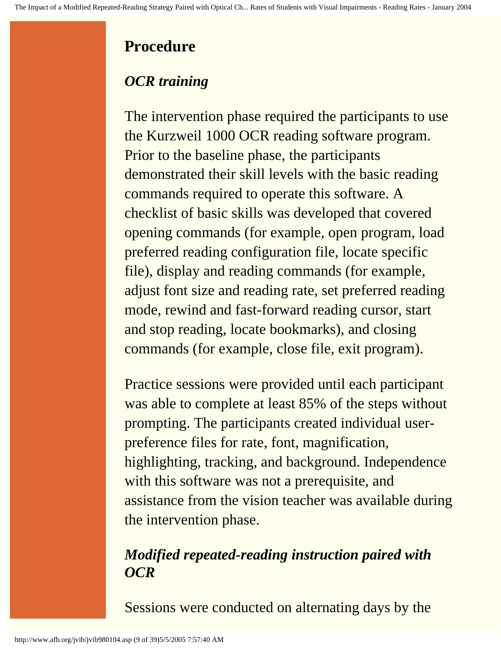# **Procedure**

# *OCR training*

The intervention phase required the participants to use the Kurzweil 1000 OCR reading software program. Prior to the baseline phase, the participants demonstrated their skill levels with the basic reading commands required to operate this software. A checklist of basic skills was developed that covered opening commands (for example, open program, load preferred reading configuration file, locate specific file), display and reading commands (for example, adjust font size and reading rate, set preferred reading mode, rewind and fast-forward reading cursor, start and stop reading, locate bookmarks), and closing commands (for example, close file, exit program).

Practice sessions were provided until each participant was able to complete at least 85% of the steps without prompting. The participants created individual userpreference files for rate, font, magnification, highlighting, tracking, and background. Independence with this software was not a prerequisite, and assistance from the vision teacher was available during the intervention phase.

## *Modified repeated-reading instruction paired with OCR*

Sessions were conducted on alternating days by the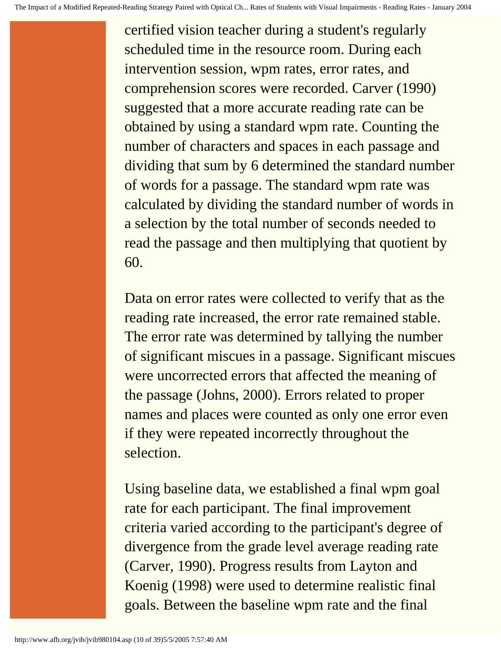certified vision teacher during a student's regularly scheduled time in the resource room. During each intervention session, wpm rates, error rates, and comprehension scores were recorded. Carver (1990) suggested that a more accurate reading rate can be obtained by using a standard wpm rate. Counting the number of characters and spaces in each passage and dividing that sum by 6 determined the standard number of words for a passage. The standard wpm rate was calculated by dividing the standard number of words in a selection by the total number of seconds needed to read the passage and then multiplying that quotient by 60.

Data on error rates were collected to verify that as the reading rate increased, the error rate remained stable. The error rate was determined by tallying the number of significant miscues in a passage. Significant miscues were uncorrected errors that affected the meaning of the passage (Johns, 2000). Errors related to proper names and places were counted as only one error even if they were repeated incorrectly throughout the selection.

Using baseline data, we established a final wpm goal rate for each participant. The final improvement criteria varied according to the participant's degree of divergence from the grade level average reading rate (Carver, 1990). Progress results from Layton and Koenig (1998) were used to determine realistic final goals. Between the baseline wpm rate and the final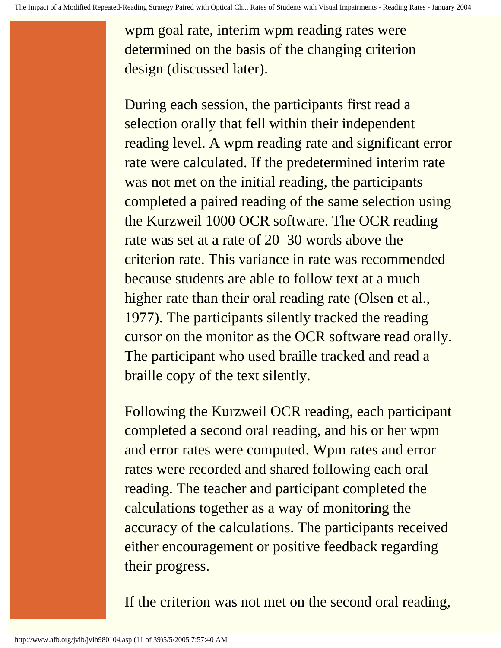wpm goal rate, interim wpm reading rates were determined on the basis of the changing criterion design (discussed later).

During each session, the participants first read a selection orally that fell within their independent reading level. A wpm reading rate and significant error rate were calculated. If the predetermined interim rate was not met on the initial reading, the participants completed a paired reading of the same selection using the Kurzweil 1000 OCR software. The OCR reading rate was set at a rate of 20–30 words above the criterion rate. This variance in rate was recommended because students are able to follow text at a much higher rate than their oral reading rate (Olsen et al., 1977). The participants silently tracked the reading cursor on the monitor as the OCR software read orally. The participant who used braille tracked and read a braille copy of the text silently.

Following the Kurzweil OCR reading, each participant completed a second oral reading, and his or her wpm and error rates were computed. Wpm rates and error rates were recorded and shared following each oral reading. The teacher and participant completed the calculations together as a way of monitoring the accuracy of the calculations. The participants received either encouragement or positive feedback regarding their progress.

If the criterion was not met on the second oral reading,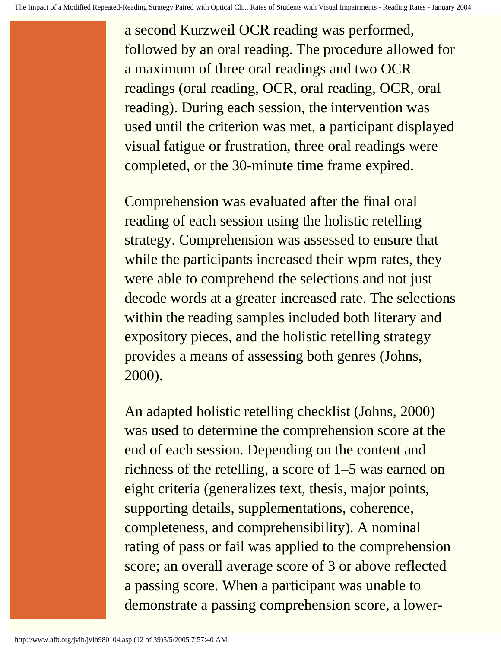a second Kurzweil OCR reading was performed, followed by an oral reading. The procedure allowed for a maximum of three oral readings and two OCR readings (oral reading, OCR, oral reading, OCR, oral reading). During each session, the intervention was used until the criterion was met, a participant displayed visual fatigue or frustration, three oral readings were completed, or the 30-minute time frame expired.

Comprehension was evaluated after the final oral reading of each session using the holistic retelling strategy. Comprehension was assessed to ensure that while the participants increased their wpm rates, they were able to comprehend the selections and not just decode words at a greater increased rate. The selections within the reading samples included both literary and expository pieces, and the holistic retelling strategy provides a means of assessing both genres (Johns, 2000).

An adapted holistic retelling checklist (Johns, 2000) was used to determine the comprehension score at the end of each session. Depending on the content and richness of the retelling, a score of 1–5 was earned on eight criteria (generalizes text, thesis, major points, supporting details, supplementations, coherence, completeness, and comprehensibility). A nominal rating of pass or fail was applied to the comprehension score; an overall average score of 3 or above reflected a passing score. When a participant was unable to demonstrate a passing comprehension score, a lower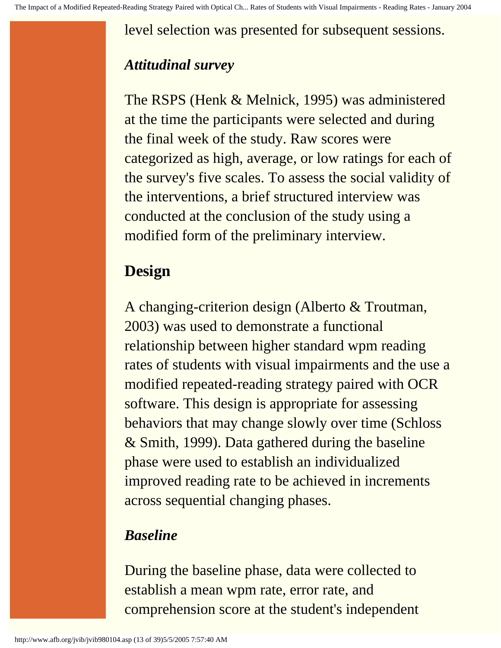level selection was presented for subsequent sessions.

### *Attitudinal survey*

The RSPS (Henk & Melnick, 1995) was administered at the time the participants were selected and during the final week of the study. Raw scores were categorized as high, average, or low ratings for each of the survey's five scales. To assess the social validity of the interventions, a brief structured interview was conducted at the conclusion of the study using a modified form of the preliminary interview.

## **Design**

A changing-criterion design (Alberto & Troutman, 2003) was used to demonstrate a functional relationship between higher standard wpm reading rates of students with visual impairments and the use a modified repeated-reading strategy paired with OCR software. This design is appropriate for assessing behaviors that may change slowly over time (Schloss & Smith, 1999). Data gathered during the baseline phase were used to establish an individualized improved reading rate to be achieved in increments across sequential changing phases.

### *Baseline*

During the baseline phase, data were collected to establish a mean wpm rate, error rate, and comprehension score at the student's independent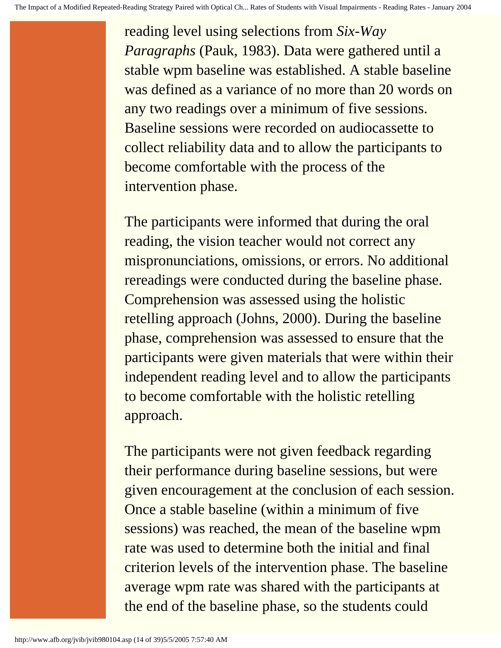reading level using selections from *Six-Way Paragraphs* (Pauk, 1983). Data were gathered until a stable wpm baseline was established. A stable baseline was defined as a variance of no more than 20 words on any two readings over a minimum of five sessions. Baseline sessions were recorded on audiocassette to collect reliability data and to allow the participants to become comfortable with the process of the intervention phase.

The participants were informed that during the oral reading, the vision teacher would not correct any mispronunciations, omissions, or errors. No additional rereadings were conducted during the baseline phase. Comprehension was assessed using the holistic retelling approach (Johns, 2000). During the baseline phase, comprehension was assessed to ensure that the participants were given materials that were within their independent reading level and to allow the participants to become comfortable with the holistic retelling approach.

The participants were not given feedback regarding their performance during baseline sessions, but were given encouragement at the conclusion of each session. Once a stable baseline (within a minimum of five sessions) was reached, the mean of the baseline wpm rate was used to determine both the initial and final criterion levels of the intervention phase. The baseline average wpm rate was shared with the participants at the end of the baseline phase, so the students could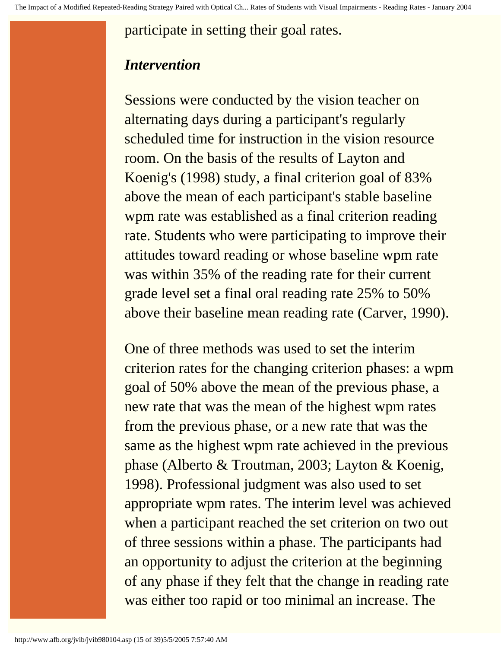participate in setting their goal rates.

#### *Intervention*

Sessions were conducted by the vision teacher on alternating days during a participant's regularly scheduled time for instruction in the vision resource room. On the basis of the results of Layton and Koenig's (1998) study, a final criterion goal of 83% above the mean of each participant's stable baseline wpm rate was established as a final criterion reading rate. Students who were participating to improve their attitudes toward reading or whose baseline wpm rate was within 35% of the reading rate for their current grade level set a final oral reading rate 25% to 50% above their baseline mean reading rate (Carver, 1990).

One of three methods was used to set the interim criterion rates for the changing criterion phases: a wpm goal of 50% above the mean of the previous phase, a new rate that was the mean of the highest wpm rates from the previous phase, or a new rate that was the same as the highest wpm rate achieved in the previous phase (Alberto & Troutman, 2003; Layton & Koenig, 1998). Professional judgment was also used to set appropriate wpm rates. The interim level was achieved when a participant reached the set criterion on two out of three sessions within a phase. The participants had an opportunity to adjust the criterion at the beginning of any phase if they felt that the change in reading rate was either too rapid or too minimal an increase. The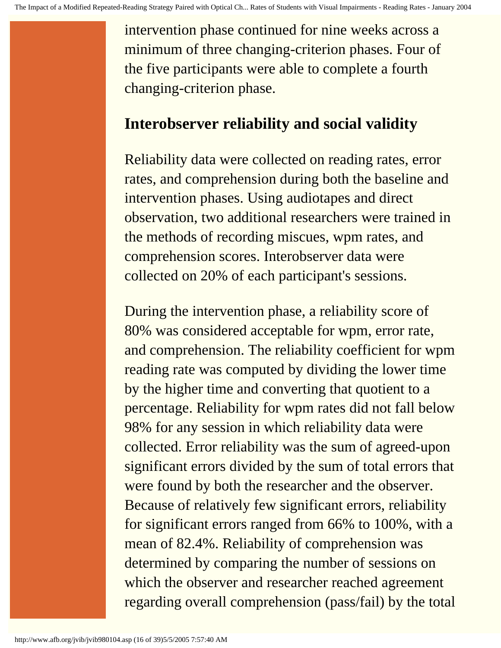intervention phase continued for nine weeks across a minimum of three changing-criterion phases. Four of the five participants were able to complete a fourth changing-criterion phase.

### **Interobserver reliability and social validity**

Reliability data were collected on reading rates, error rates, and comprehension during both the baseline and intervention phases. Using audiotapes and direct observation, two additional researchers were trained in the methods of recording miscues, wpm rates, and comprehension scores. Interobserver data were collected on 20% of each participant's sessions.

During the intervention phase, a reliability score of 80% was considered acceptable for wpm, error rate, and comprehension. The reliability coefficient for wpm reading rate was computed by dividing the lower time by the higher time and converting that quotient to a percentage. Reliability for wpm rates did not fall below 98% for any session in which reliability data were collected. Error reliability was the sum of agreed-upon significant errors divided by the sum of total errors that were found by both the researcher and the observer. Because of relatively few significant errors, reliability for significant errors ranged from 66% to 100%, with a mean of 82.4%. Reliability of comprehension was determined by comparing the number of sessions on which the observer and researcher reached agreement regarding overall comprehension (pass/fail) by the total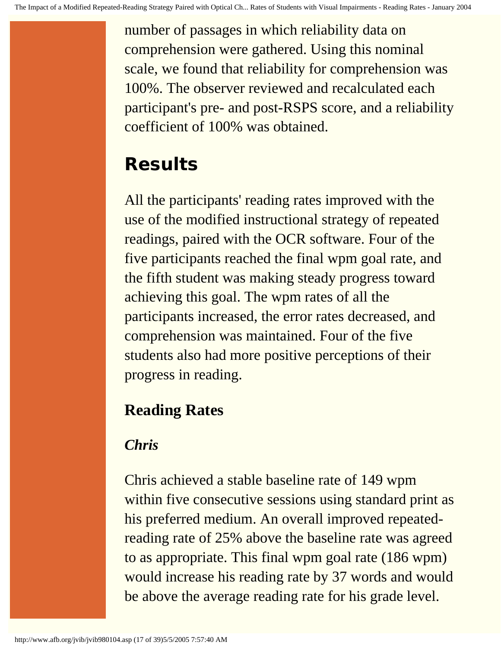number of passages in which reliability data on comprehension were gathered. Using this nominal scale, we found that reliability for comprehension was 100%. The observer reviewed and recalculated each participant's pre- and post-RSPS score, and a reliability coefficient of 100% was obtained.

# **Results**

All the participants' reading rates improved with the use of the modified instructional strategy of repeated readings, paired with the OCR software. Four of the five participants reached the final wpm goal rate, and the fifth student was making steady progress toward achieving this goal. The wpm rates of all the participants increased, the error rates decreased, and comprehension was maintained. Four of the five students also had more positive perceptions of their progress in reading.

# **Reading Rates**

# *Chris*

Chris achieved a stable baseline rate of 149 wpm within five consecutive sessions using standard print as his preferred medium. An overall improved repeatedreading rate of 25% above the baseline rate was agreed to as appropriate. This final wpm goal rate (186 wpm) would increase his reading rate by 37 words and would be above the average reading rate for his grade level.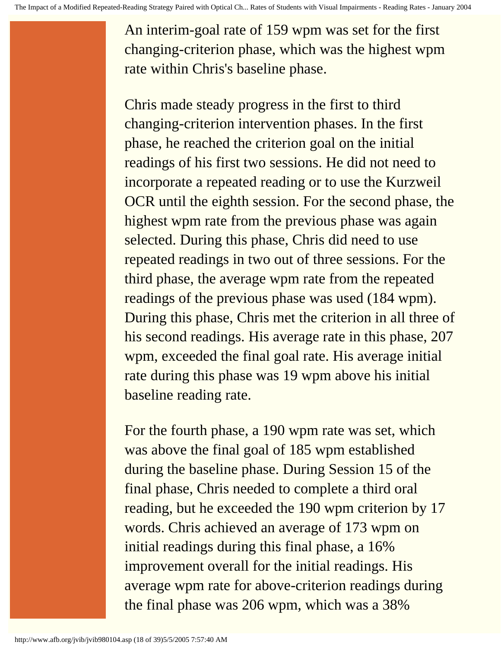An interim-goal rate of 159 wpm was set for the first changing-criterion phase, which was the highest wpm rate within Chris's baseline phase.

Chris made steady progress in the first to third changing-criterion intervention phases. In the first phase, he reached the criterion goal on the initial readings of his first two sessions. He did not need to incorporate a repeated reading or to use the Kurzweil OCR until the eighth session. For the second phase, the highest wpm rate from the previous phase was again selected. During this phase, Chris did need to use repeated readings in two out of three sessions. For the third phase, the average wpm rate from the repeated readings of the previous phase was used (184 wpm). During this phase, Chris met the criterion in all three of his second readings. His average rate in this phase, 207 wpm, exceeded the final goal rate. His average initial rate during this phase was 19 wpm above his initial baseline reading rate.

For the fourth phase, a 190 wpm rate was set, which was above the final goal of 185 wpm established during the baseline phase. During Session 15 of the final phase, Chris needed to complete a third oral reading, but he exceeded the 190 wpm criterion by 17 words. Chris achieved an average of 173 wpm on initial readings during this final phase, a 16% improvement overall for the initial readings. His average wpm rate for above-criterion readings during the final phase was 206 wpm, which was a 38%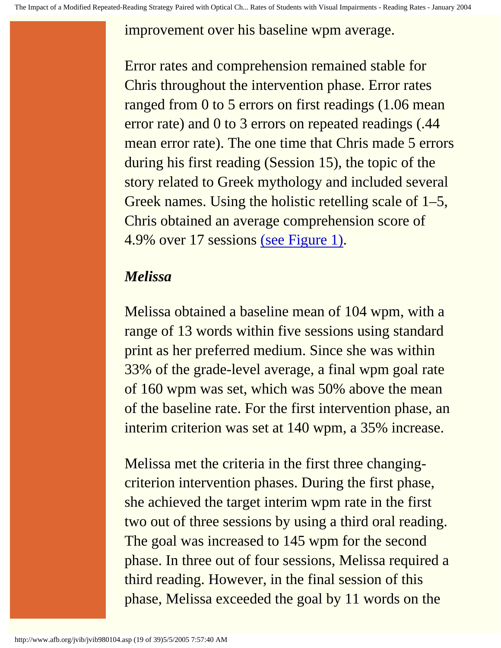improvement over his baseline wpm average.

Error rates and comprehension remained stable for Chris throughout the intervention phase. Error rates ranged from 0 to 5 errors on first readings (1.06 mean error rate) and 0 to 3 errors on repeated readings (.44 mean error rate). The one time that Chris made 5 errors during his first reading (Session 15), the topic of the story related to Greek mythology and included several Greek names. Using the holistic retelling scale of 1–5, Chris obtained an average comprehension score of 4.9% over 17 sessions [\(see Figure 1\).](http://www.afb.org/jvib/jvib980104fig01.asp)

### *Melissa*

Melissa obtained a baseline mean of 104 wpm, with a range of 13 words within five sessions using standard print as her preferred medium. Since she was within 33% of the grade-level average, a final wpm goal rate of 160 wpm was set, which was 50% above the mean of the baseline rate. For the first intervention phase, an interim criterion was set at 140 wpm, a 35% increase.

Melissa met the criteria in the first three changingcriterion intervention phases. During the first phase, she achieved the target interim wpm rate in the first two out of three sessions by using a third oral reading. The goal was increased to 145 wpm for the second phase. In three out of four sessions, Melissa required a third reading. However, in the final session of this phase, Melissa exceeded the goal by 11 words on the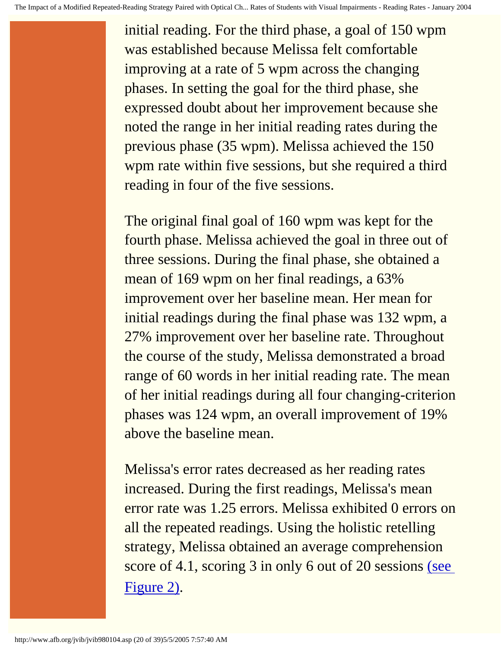initial reading. For the third phase, a goal of 150 wpm was established because Melissa felt comfortable improving at a rate of 5 wpm across the changing phases. In setting the goal for the third phase, she expressed doubt about her improvement because she noted the range in her initial reading rates during the previous phase (35 wpm). Melissa achieved the 150 wpm rate within five sessions, but she required a third reading in four of the five sessions.

The original final goal of 160 wpm was kept for the fourth phase. Melissa achieved the goal in three out of three sessions. During the final phase, she obtained a mean of 169 wpm on her final readings, a 63% improvement over her baseline mean. Her mean for initial readings during the final phase was 132 wpm, a 27% improvement over her baseline rate. Throughout the course of the study, Melissa demonstrated a broad range of 60 words in her initial reading rate. The mean of her initial readings during all four changing-criterion phases was 124 wpm, an overall improvement of 19% above the baseline mean.

Melissa's error rates decreased as her reading rates increased. During the first readings, Melissa's mean error rate was 1.25 errors. Melissa exhibited 0 errors on all the repeated readings. Using the holistic retelling strategy, Melissa obtained an average comprehension score of 4.1, scoring 3 in only 6 out of 20 sessions [\(see](http://www.afb.org/jvib/jvib980104fig02.asp)  [Figure 2\)](http://www.afb.org/jvib/jvib980104fig02.asp).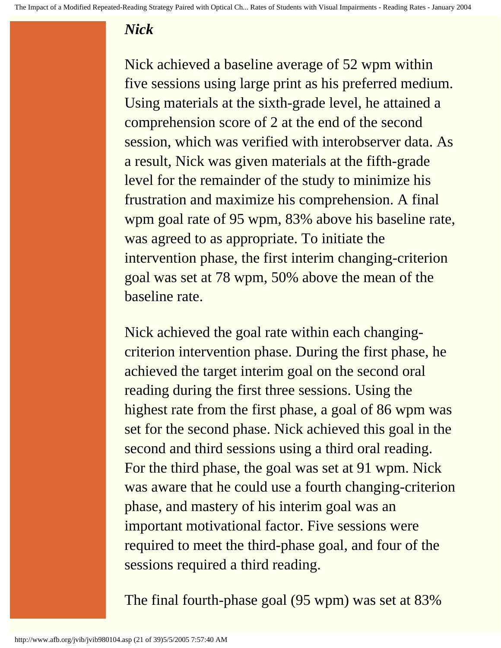### *Nick*

Nick achieved a baseline average of 52 wpm within five sessions using large print as his preferred medium. Using materials at the sixth-grade level, he attained a comprehension score of 2 at the end of the second session, which was verified with interobserver data. As a result, Nick was given materials at the fifth-grade level for the remainder of the study to minimize his frustration and maximize his comprehension. A final wpm goal rate of 95 wpm, 83% above his baseline rate, was agreed to as appropriate. To initiate the intervention phase, the first interim changing-criterion goal was set at 78 wpm, 50% above the mean of the baseline rate.

Nick achieved the goal rate within each changingcriterion intervention phase. During the first phase, he achieved the target interim goal on the second oral reading during the first three sessions. Using the highest rate from the first phase, a goal of 86 wpm was set for the second phase. Nick achieved this goal in the second and third sessions using a third oral reading. For the third phase, the goal was set at 91 wpm. Nick was aware that he could use a fourth changing-criterion phase, and mastery of his interim goal was an important motivational factor. Five sessions were required to meet the third-phase goal, and four of the sessions required a third reading.

The final fourth-phase goal (95 wpm) was set at 83%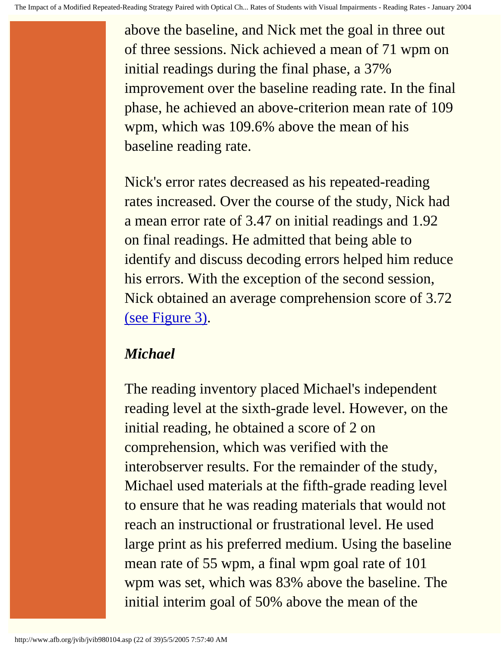above the baseline, and Nick met the goal in three out of three sessions. Nick achieved a mean of 71 wpm on initial readings during the final phase, a 37% improvement over the baseline reading rate. In the final phase, he achieved an above-criterion mean rate of 109 wpm, which was 109.6% above the mean of his baseline reading rate.

Nick's error rates decreased as his repeated-reading rates increased. Over the course of the study, Nick had a mean error rate of 3.47 on initial readings and 1.92 on final readings. He admitted that being able to identify and discuss decoding errors helped him reduce his errors. With the exception of the second session, Nick obtained an average comprehension score of 3.72 [\(see Figure 3\)](http://www.afb.org/jvib/jvib980104fig03.asp).

### *Michael*

The reading inventory placed Michael's independent reading level at the sixth-grade level. However, on the initial reading, he obtained a score of 2 on comprehension, which was verified with the interobserver results. For the remainder of the study, Michael used materials at the fifth-grade reading level to ensure that he was reading materials that would not reach an instructional or frustrational level. He used large print as his preferred medium. Using the baseline mean rate of 55 wpm, a final wpm goal rate of 101 wpm was set, which was 83% above the baseline. The initial interim goal of 50% above the mean of the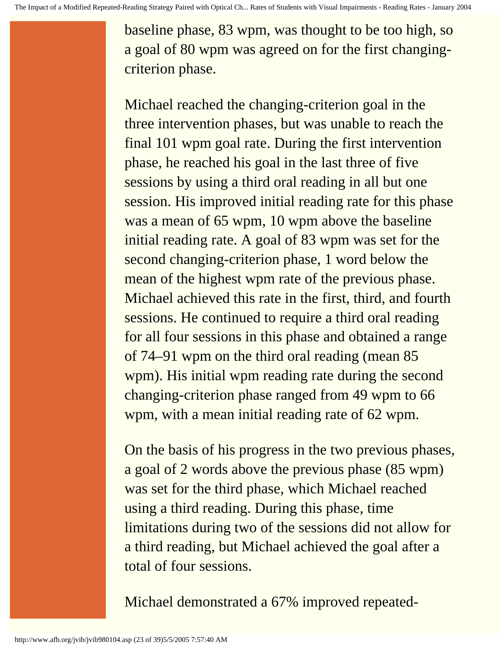baseline phase, 83 wpm, was thought to be too high, so a goal of 80 wpm was agreed on for the first changingcriterion phase.

Michael reached the changing-criterion goal in the three intervention phases, but was unable to reach the final 101 wpm goal rate. During the first intervention phase, he reached his goal in the last three of five sessions by using a third oral reading in all but one session. His improved initial reading rate for this phase was a mean of 65 wpm, 10 wpm above the baseline initial reading rate. A goal of 83 wpm was set for the second changing-criterion phase, 1 word below the mean of the highest wpm rate of the previous phase. Michael achieved this rate in the first, third, and fourth sessions. He continued to require a third oral reading for all four sessions in this phase and obtained a range of 74–91 wpm on the third oral reading (mean 85 wpm). His initial wpm reading rate during the second changing-criterion phase ranged from 49 wpm to 66 wpm, with a mean initial reading rate of 62 wpm.

On the basis of his progress in the two previous phases, a goal of 2 words above the previous phase (85 wpm) was set for the third phase, which Michael reached using a third reading. During this phase, time limitations during two of the sessions did not allow for a third reading, but Michael achieved the goal after a total of four sessions.

Michael demonstrated a 67% improved repeated-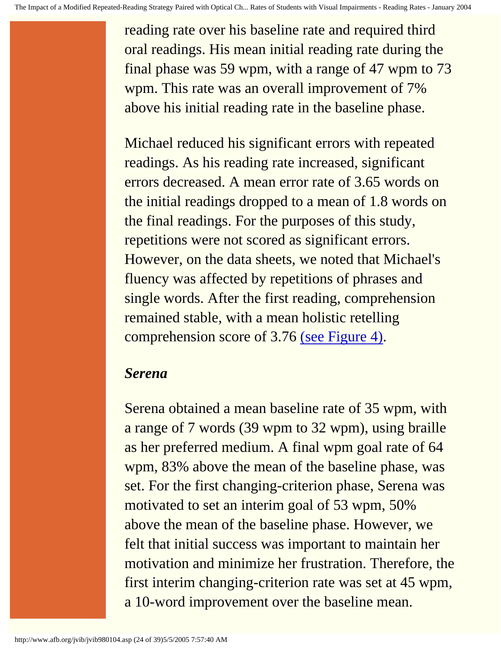reading rate over his baseline rate and required third oral readings. His mean initial reading rate during the final phase was 59 wpm, with a range of 47 wpm to 73 wpm. This rate was an overall improvement of 7% above his initial reading rate in the baseline phase.

Michael reduced his significant errors with repeated readings. As his reading rate increased, significant errors decreased. A mean error rate of 3.65 words on the initial readings dropped to a mean of 1.8 words on the final readings. For the purposes of this study, repetitions were not scored as significant errors. However, on the data sheets, we noted that Michael's fluency was affected by repetitions of phrases and single words. After the first reading, comprehension remained stable, with a mean holistic retelling comprehension score of 3.76 [\(see Figure 4\)](http://www.afb.org/jvib/jvib980104fig04.asp).

### *Serena*

Serena obtained a mean baseline rate of 35 wpm, with a range of 7 words (39 wpm to 32 wpm), using braille as her preferred medium. A final wpm goal rate of 64 wpm, 83% above the mean of the baseline phase, was set. For the first changing-criterion phase, Serena was motivated to set an interim goal of 53 wpm, 50% above the mean of the baseline phase. However, we felt that initial success was important to maintain her motivation and minimize her frustration. Therefore, the first interim changing-criterion rate was set at 45 wpm, a 10-word improvement over the baseline mean.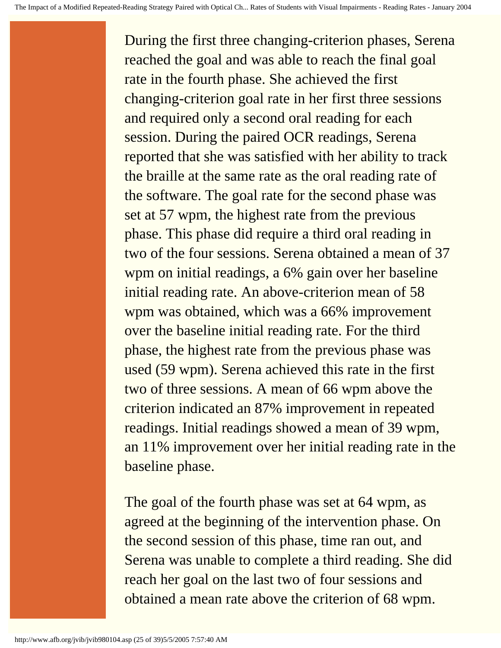During the first three changing-criterion phases, Serena reached the goal and was able to reach the final goal rate in the fourth phase. She achieved the first changing-criterion goal rate in her first three sessions and required only a second oral reading for each session. During the paired OCR readings, Serena reported that she was satisfied with her ability to track the braille at the same rate as the oral reading rate of the software. The goal rate for the second phase was set at 57 wpm, the highest rate from the previous phase. This phase did require a third oral reading in two of the four sessions. Serena obtained a mean of 37 wpm on initial readings, a 6% gain over her baseline initial reading rate. An above-criterion mean of 58 wpm was obtained, which was a 66% improvement over the baseline initial reading rate. For the third phase, the highest rate from the previous phase was used (59 wpm). Serena achieved this rate in the first two of three sessions. A mean of 66 wpm above the criterion indicated an 87% improvement in repeated readings. Initial readings showed a mean of 39 wpm, an 11% improvement over her initial reading rate in the baseline phase.

The goal of the fourth phase was set at 64 wpm, as agreed at the beginning of the intervention phase. On the second session of this phase, time ran out, and Serena was unable to complete a third reading. She did reach her goal on the last two of four sessions and obtained a mean rate above the criterion of 68 wpm.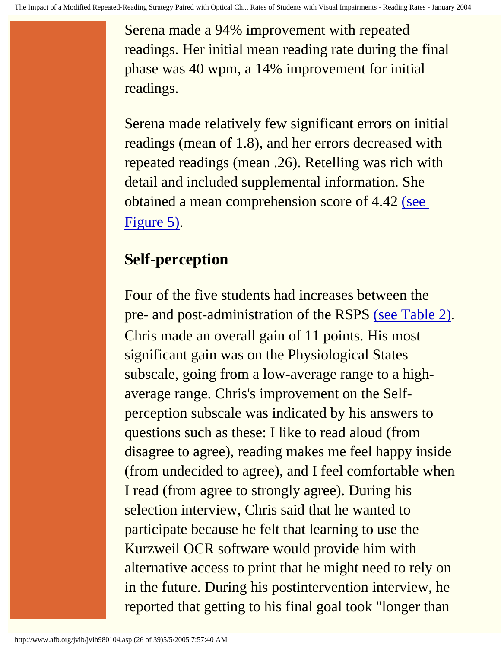Serena made a 94% improvement with repeated readings. Her initial mean reading rate during the final phase was 40 wpm, a 14% improvement for initial readings.

Serena made relatively few significant errors on initial readings (mean of 1.8), and her errors decreased with repeated readings (mean .26). Retelling was rich with detail and included supplemental information. She obtained a mean comprehension score of 4.42 [\(see](http://www.afb.org/jvib/jvib980104fig05.asp) [Figure 5\)](http://www.afb.org/jvib/jvib980104fig05.asp).

## **Self-perception**

Four of the five students had increases between the pre- and post-administration of the RSPS [\(see Table 2\).](http://www.afb.org/jvib/jvib980104tab02intro.asp) Chris made an overall gain of 11 points. His most significant gain was on the Physiological States subscale, going from a low-average range to a highaverage range. Chris's improvement on the Selfperception subscale was indicated by his answers to questions such as these: I like to read aloud (from disagree to agree), reading makes me feel happy inside (from undecided to agree), and I feel comfortable when I read (from agree to strongly agree). During his selection interview, Chris said that he wanted to participate because he felt that learning to use the Kurzweil OCR software would provide him with alternative access to print that he might need to rely on in the future. During his postintervention interview, he reported that getting to his final goal took "longer than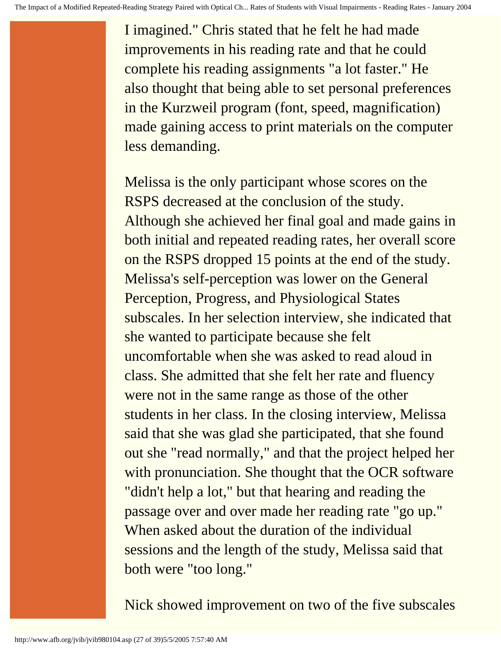I imagined." Chris stated that he felt he had made improvements in his reading rate and that he could complete his reading assignments "a lot faster." He also thought that being able to set personal preferences in the Kurzweil program (font, speed, magnification) made gaining access to print materials on the computer less demanding.

Melissa is the only participant whose scores on the RSPS decreased at the conclusion of the study. Although she achieved her final goal and made gains in both initial and repeated reading rates, her overall score on the RSPS dropped 15 points at the end of the study. Melissa's self-perception was lower on the General Perception, Progress, and Physiological States subscales. In her selection interview, she indicated that she wanted to participate because she felt uncomfortable when she was asked to read aloud in class. She admitted that she felt her rate and fluency were not in the same range as those of the other students in her class. In the closing interview, Melissa said that she was glad she participated, that she found out she "read normally," and that the project helped her with pronunciation. She thought that the OCR software "didn't help a lot," but that hearing and reading the passage over and over made her reading rate "go up." When asked about the duration of the individual sessions and the length of the study, Melissa said that both were "too long."

Nick showed improvement on two of the five subscales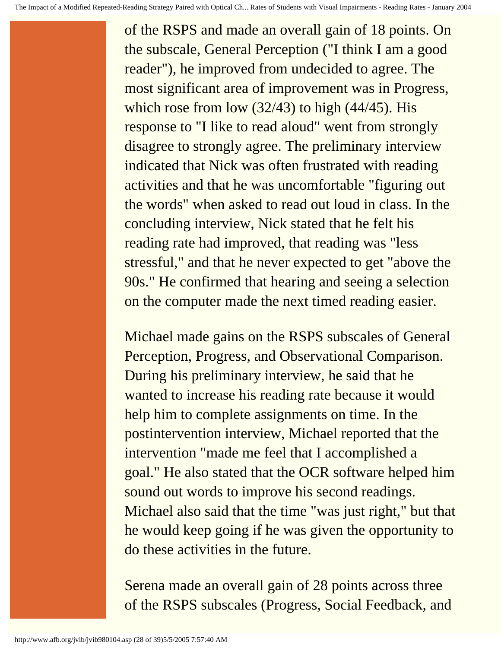of the RSPS and made an overall gain of 18 points. On the subscale, General Perception ("I think I am a good reader"), he improved from undecided to agree. The most significant area of improvement was in Progress, which rose from low (32/43) to high (44/45). His response to "I like to read aloud" went from strongly disagree to strongly agree. The preliminary interview indicated that Nick was often frustrated with reading activities and that he was uncomfortable "figuring out the words" when asked to read out loud in class. In the concluding interview, Nick stated that he felt his reading rate had improved, that reading was "less stressful," and that he never expected to get "above the 90s." He confirmed that hearing and seeing a selection on the computer made the next timed reading easier.

Michael made gains on the RSPS subscales of General Perception, Progress, and Observational Comparison. During his preliminary interview, he said that he wanted to increase his reading rate because it would help him to complete assignments on time. In the postintervention interview, Michael reported that the intervention "made me feel that I accomplished a goal." He also stated that the OCR software helped him sound out words to improve his second readings. Michael also said that the time "was just right," but that he would keep going if he was given the opportunity to do these activities in the future.

Serena made an overall gain of 28 points across three of the RSPS subscales (Progress, Social Feedback, and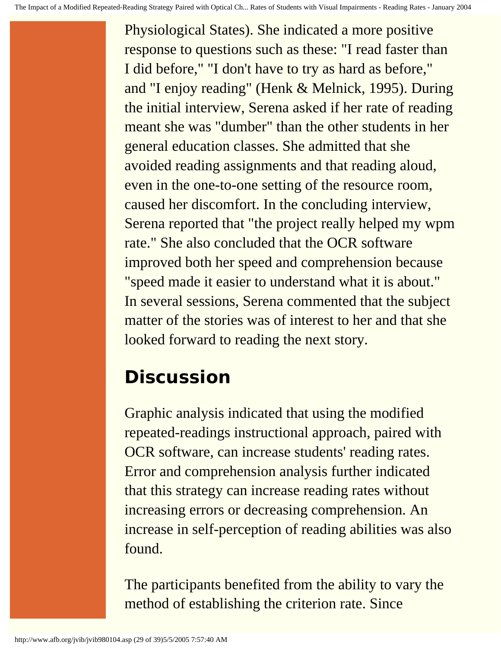Physiological States). She indicated a more positive response to questions such as these: "I read faster than I did before," "I don't have to try as hard as before," and "I enjoy reading" (Henk & Melnick, 1995). During the initial interview, Serena asked if her rate of reading meant she was "dumber" than the other students in her general education classes. She admitted that she avoided reading assignments and that reading aloud, even in the one-to-one setting of the resource room, caused her discomfort. In the concluding interview, Serena reported that "the project really helped my wpm rate." She also concluded that the OCR software improved both her speed and comprehension because "speed made it easier to understand what it is about." In several sessions, Serena commented that the subject matter of the stories was of interest to her and that she looked forward to reading the next story.

# **Discussion**

Graphic analysis indicated that using the modified repeated-readings instructional approach, paired with OCR software, can increase students' reading rates. Error and comprehension analysis further indicated that this strategy can increase reading rates without increasing errors or decreasing comprehension. An increase in self-perception of reading abilities was also found.

The participants benefited from the ability to vary the method of establishing the criterion rate. Since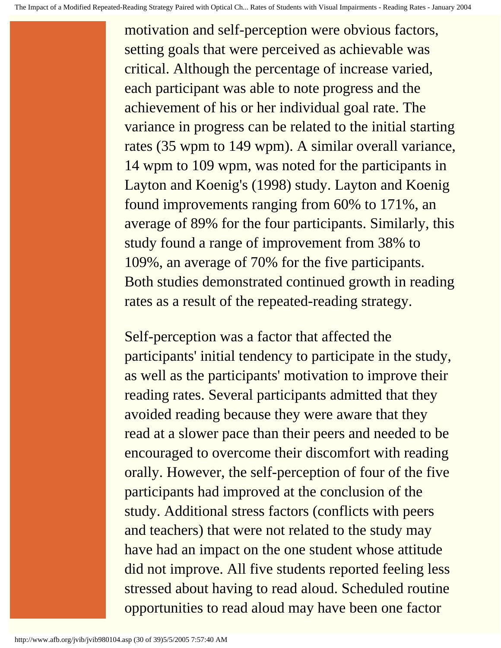motivation and self-perception were obvious factors, setting goals that were perceived as achievable was critical. Although the percentage of increase varied, each participant was able to note progress and the achievement of his or her individual goal rate. The variance in progress can be related to the initial starting rates (35 wpm to 149 wpm). A similar overall variance, 14 wpm to 109 wpm, was noted for the participants in Layton and Koenig's (1998) study. Layton and Koenig found improvements ranging from 60% to 171%, an average of 89% for the four participants. Similarly, this study found a range of improvement from 38% to 109%, an average of 70% for the five participants. Both studies demonstrated continued growth in reading rates as a result of the repeated-reading strategy.

Self-perception was a factor that affected the participants' initial tendency to participate in the study, as well as the participants' motivation to improve their reading rates. Several participants admitted that they avoided reading because they were aware that they read at a slower pace than their peers and needed to be encouraged to overcome their discomfort with reading orally. However, the self-perception of four of the five participants had improved at the conclusion of the study. Additional stress factors (conflicts with peers and teachers) that were not related to the study may have had an impact on the one student whose attitude did not improve. All five students reported feeling less stressed about having to read aloud. Scheduled routine opportunities to read aloud may have been one factor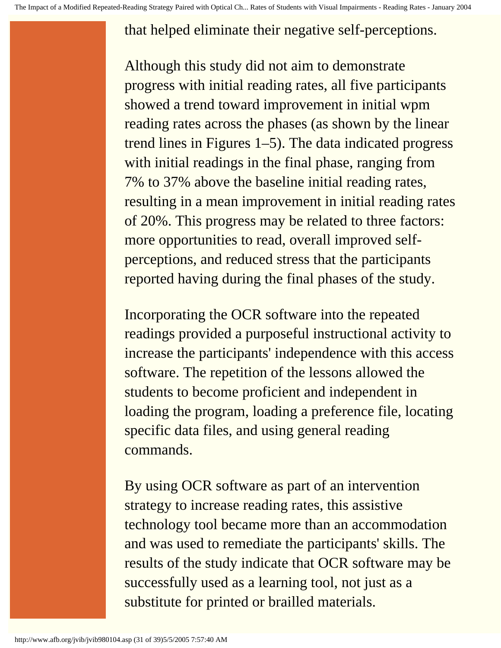### that helped eliminate their negative self-perceptions.

Although this study did not aim to demonstrate progress with initial reading rates, all five participants showed a trend toward improvement in initial wpm reading rates across the phases (as shown by the linear trend lines in Figures 1–5). The data indicated progress with initial readings in the final phase, ranging from 7% to 37% above the baseline initial reading rates, resulting in a mean improvement in initial reading rates of 20%. This progress may be related to three factors: more opportunities to read, overall improved selfperceptions, and reduced stress that the participants reported having during the final phases of the study.

Incorporating the OCR software into the repeated readings provided a purposeful instructional activity to increase the participants' independence with this access software. The repetition of the lessons allowed the students to become proficient and independent in loading the program, loading a preference file, locating specific data files, and using general reading commands.

By using OCR software as part of an intervention strategy to increase reading rates, this assistive technology tool became more than an accommodation and was used to remediate the participants' skills. The results of the study indicate that OCR software may be successfully used as a learning tool, not just as a substitute for printed or brailled materials.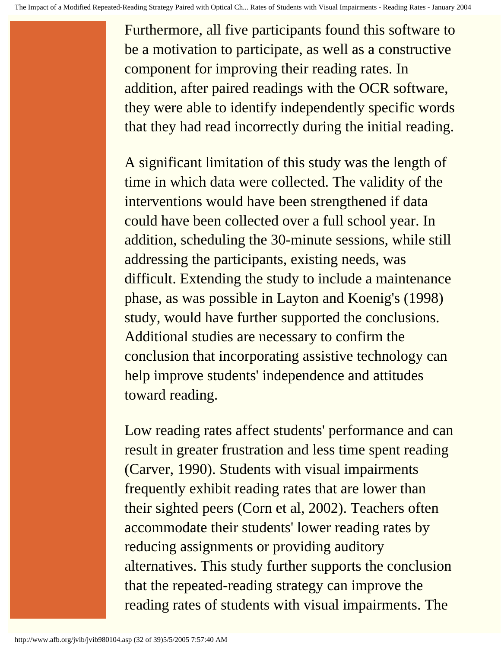Furthermore, all five participants found this software to be a motivation to participate, as well as a constructive component for improving their reading rates. In addition, after paired readings with the OCR software, they were able to identify independently specific words that they had read incorrectly during the initial reading.

A significant limitation of this study was the length of time in which data were collected. The validity of the interventions would have been strengthened if data could have been collected over a full school year. In addition, scheduling the 30-minute sessions, while still addressing the participants, existing needs, was difficult. Extending the study to include a maintenance phase, as was possible in Layton and Koenig's (1998) study, would have further supported the conclusions. Additional studies are necessary to confirm the conclusion that incorporating assistive technology can help improve students' independence and attitudes toward reading.

Low reading rates affect students' performance and can result in greater frustration and less time spent reading (Carver, 1990). Students with visual impairments frequently exhibit reading rates that are lower than their sighted peers (Corn et al, 2002). Teachers often accommodate their students' lower reading rates by reducing assignments or providing auditory alternatives. This study further supports the conclusion that the repeated-reading strategy can improve the reading rates of students with visual impairments. The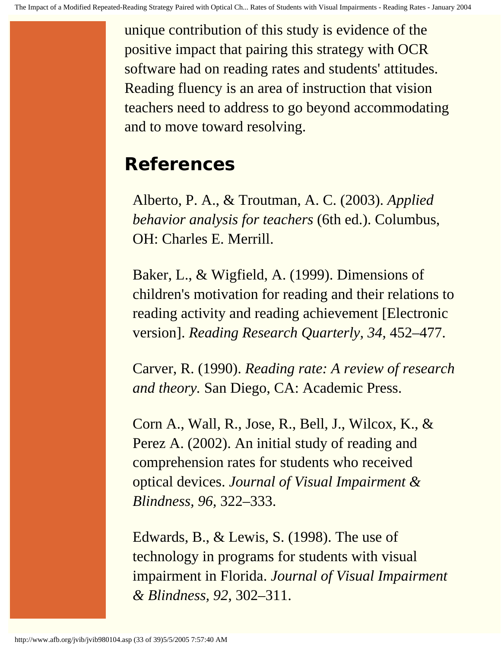unique contribution of this study is evidence of the positive impact that pairing this strategy with OCR software had on reading rates and students' attitudes. Reading fluency is an area of instruction that vision teachers need to address to go beyond accommodating and to move toward resolving.

# **References**

Alberto, P. A., & Troutman, A. C. (2003). *Applied behavior analysis for teachers* (6th ed.). Columbus, OH: Charles E. Merrill.

Baker, L., & Wigfield, A. (1999). Dimensions of children's motivation for reading and their relations to reading activity and reading achievement [Electronic version]. *Reading Research Quarterly, 34,* 452–477.

Carver, R. (1990). *Reading rate: A review of research and theory.* San Diego, CA: Academic Press.

Corn A., Wall, R., Jose, R., Bell, J., Wilcox, K., & Perez A. (2002). An initial study of reading and comprehension rates for students who received optical devices. *Journal of Visual Impairment & Blindness, 96,* 322–333.

Edwards, B., & Lewis, S. (1998). The use of technology in programs for students with visual impairment in Florida. *Journal of Visual Impairment & Blindness, 92*, 302–311.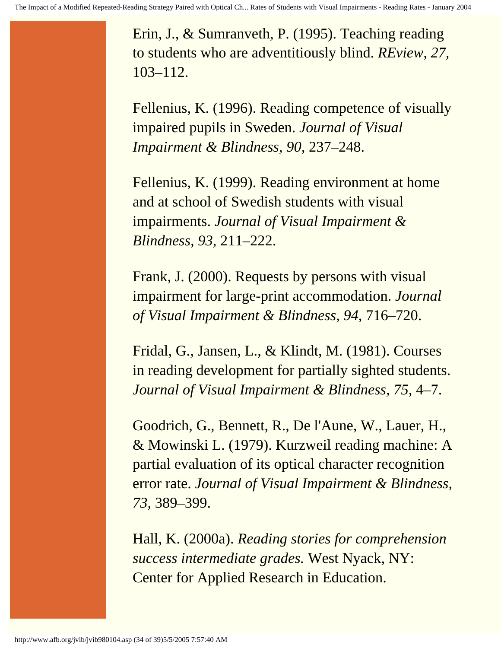Erin, J., & Sumranveth, P. (1995). Teaching reading to students who are adventitiously blind. *REview, 27,*  103–112.

Fellenius, K. (1996). Reading competence of visually impaired pupils in Sweden. *Journal of Visual Impairment & Blindness, 90,* 237–248.

Fellenius, K. (1999). Reading environment at home and at school of Swedish students with visual impairments. *Journal of Visual Impairment & Blindness, 93*, 211–222.

Frank, J. (2000). Requests by persons with visual impairment for large-print accommodation. *Journal of Visual Impairment & Blindness, 94,* 716–720.

Fridal, G., Jansen, L., & Klindt, M. (1981). Courses in reading development for partially sighted students. *Journal of Visual Impairment & Blindness, 75,* 4–7.

Goodrich, G., Bennett, R., De l'Aune, W., Lauer, H., & Mowinski L. (1979). Kurzweil reading machine: A partial evaluation of its optical character recognition error rate. *Journal of Visual Impairment & Blindness, 73,* 389–399.

Hall, K. (2000a). *Reading stories for comprehension success intermediate grades.* West Nyack, NY: Center for Applied Research in Education.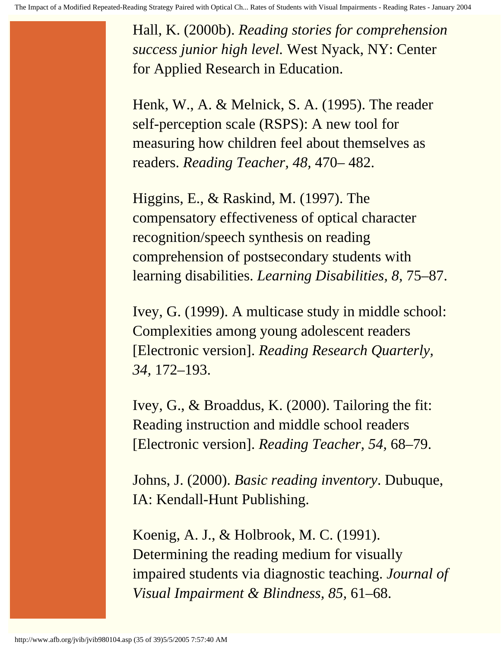Hall, K. (2000b). *Reading stories for comprehension success junior high level.* West Nyack, NY: Center for Applied Research in Education.

Henk, W., A. & Melnick, S. A. (1995). The reader self-perception scale (RSPS): A new tool for measuring how children feel about themselves as readers. *Reading Teacher, 48,* 470– 482.

Higgins, E., & Raskind, M. (1997). The compensatory effectiveness of optical character recognition/speech synthesis on reading comprehension of postsecondary students with learning disabilities. *Learning Disabilities, 8,* 75–87.

Ivey, G. (1999). A multicase study in middle school: Complexities among young adolescent readers [Electronic version]. *Reading Research Quarterly, 34,* 172–193.

Ivey, G., & Broaddus, K. (2000). Tailoring the fit: Reading instruction and middle school readers [Electronic version]. *Reading Teacher, 54,* 68–79.

Johns, J. (2000). *Basic reading inventory*. Dubuque, IA: Kendall-Hunt Publishing.

Koenig, A. J., & Holbrook, M. C. (1991). Determining the reading medium for visually impaired students via diagnostic teaching. *Journal of Visual Impairment & Blindness, 85,* 61–68.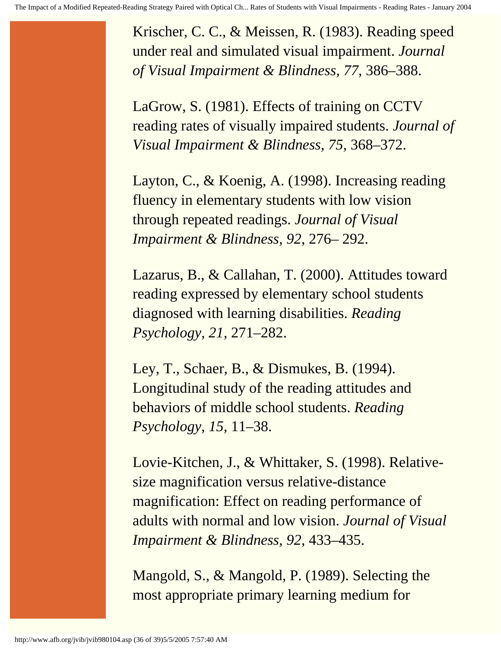Krischer, C. C., & Meissen, R. (1983). Reading speed under real and simulated visual impairment. *Journal of Visual Impairment & Blindness, 77,* 386–388.

LaGrow, S. (1981). Effects of training on CCTV reading rates of visually impaired students. *Journal of Visual Impairment & Blindness, 75,* 368–372.

Layton, C., & Koenig, A. (1998). Increasing reading fluency in elementary students with low vision through repeated readings. *Journal of Visual Impairment & Blindness, 92*, 276– 292.

Lazarus, B., & Callahan, T. (2000). Attitudes toward reading expressed by elementary school students diagnosed with learning disabilities. *Reading Psychology, 21,* 271–282.

Ley, T., Schaer, B., & Dismukes, B. (1994). Longitudinal study of the reading attitudes and behaviors of middle school students. *Reading Psychology, 15,* 11–38.

Lovie-Kitchen, J., & Whittaker, S. (1998). Relativesize magnification versus relative-distance magnification: Effect on reading performance of adults with normal and low vision. *Journal of Visual Impairment & Blindness, 92,* 433–435.

Mangold, S., & Mangold, P. (1989). Selecting the most appropriate primary learning medium for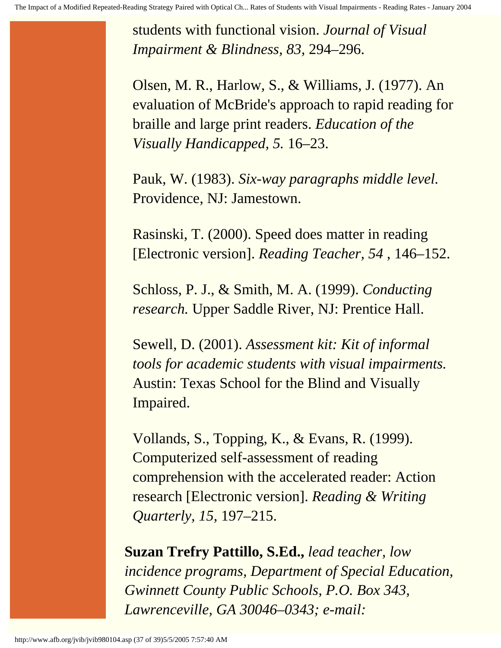students with functional vision. *Journal of Visual Impairment & Blindness, 83,* 294–296.

Olsen, M. R., Harlow, S., & Williams, J. (1977). An evaluation of McBride's approach to rapid reading for braille and large print readers. *Education of the Visually Handicapped, 5.* 16–23.

Pauk, W. (1983). *Six-way paragraphs middle level.* Providence, NJ: Jamestown.

Rasinski, T. (2000). Speed does matter in reading [Electronic version]. *Reading Teacher, 54* , 146–152.

Schloss, P. J., & Smith, M. A. (1999). *Conducting research.* Upper Saddle River, NJ: Prentice Hall.

Sewell, D. (2001). *Assessment kit: Kit of informal tools for academic students with visual impairments.*  Austin: Texas School for the Blind and Visually Impaired.

Vollands, S., Topping, K., & Evans, R. (1999). Computerized self-assessment of reading comprehension with the accelerated reader: Action research [Electronic version]. *Reading & Writing Quarterly, 15,* 197–215.

**Suzan Trefry Pattillo, S.Ed.,** *lead teacher, low incidence programs, Department of Special Education, Gwinnett County Public Schools, P.O. Box 343, Lawrenceville, GA 30046–0343; e-mail:*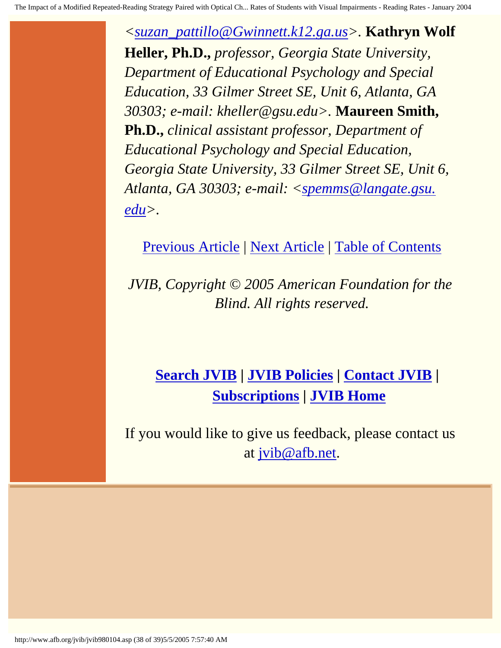*[<suzan\\_pattillo@Gwinnett.k12.ga.us](mailto:suzan_pattillo@Gwinnett.k12.ga.us)>.* **Kathryn Wolf Heller, Ph.D.,** *professor, Georgia State University, Department of Educational Psychology and Special Education, 33 Gilmer Street SE, Unit 6, Atlanta, GA 30303; e-mail: kheller@gsu.edu>.* **Maureen Smith, Ph.D.,** *clinical assistant professor, Department of Educational Psychology and Special Education, Georgia State University, 33 Gilmer Street SE, Unit 6, Atlanta, GA 30303; e-mail: [<spemms@langate.gsu.](mailto:spemms@langate.gsu.edu) [edu](mailto:spemms@langate.gsu.edu)>.*

[Previous Article](http://www.afb.org/jvib/jvib980103.asp) | [Next Article](http://www.afb.org/jvib/jvib980105.asp) | [Table of Contents](http://www.afb.org/jvib/jvib9801toc.asp)

*JVIB, Copyright © 2005 American Foundation for the Blind. All rights reserved.*

# **[Search JVIB](http://www.afb.org/jvib/JVIB_search.asp) | [JVIB Policies](http://www.afb.org/jvib.asp) | [Contact JVIB](http://www.afb.org/jvib/contact_jvib.asp) | [Subscriptions](http://www.afb.org/store/journal_view.asp?name=Journal+of+Visual+Impairment+%26+Blindness&mscssid=) | [JVIB Home](http://www.afb.org/jvib/main.asp)**

If you would like to give us feedback, please contact us at [jvib@afb.net](mailto:jvib@afb.net).